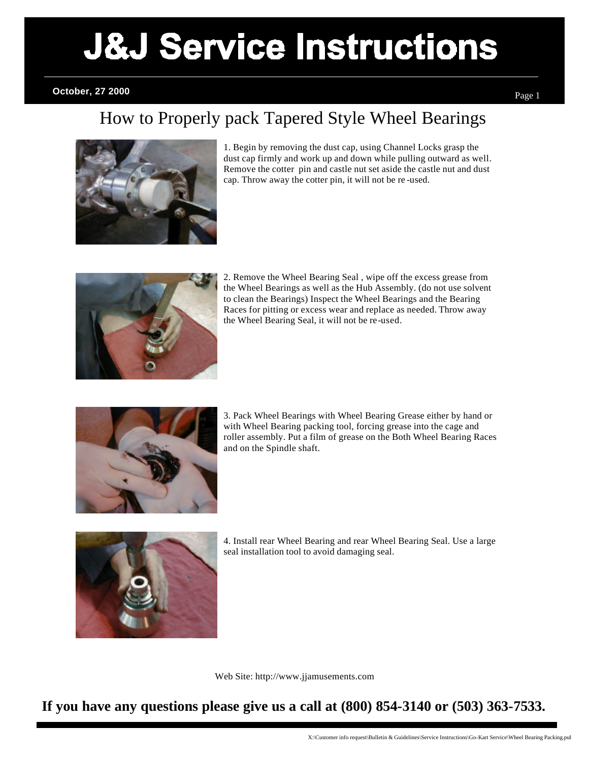# Sidewinder Body Air Vent

#### **October, 27 2000**

## How to Properly pack Tapered Style Wheel Bearings



1. Begin by removing the dust cap, using Channel Locks grasp the dust cap firmly and work up and down while pulling outward as well. Remove the cotter pin and castle nut set aside the castle nut and dust cap. Throw away the cotter pin, it will not be re -used.



2. Remove the Wheel Bearing Seal , wipe off the excess grease from the Wheel Bearings as well as the Hub Assembly. (do not use solvent to clean the Bearings) Inspect the Wheel Bearings and the Bearing Races for pitting or excess wear and replace as needed. Throw away the Wheel Bearing Seal, it will not be re-used.



3. Pack Wheel Bearings with Wheel Bearing Grease either by hand or with Wheel Bearing packing tool, forcing grease into the cage and roller assembly. Put a film of grease on the Both Wheel Bearing Races and on the Spindle shaft.



4. Install rear Wheel Bearing and rear Wheel Bearing Seal. Use a large seal installation tool to avoid damaging seal.

Web Site: http://www.jjamusements.com

**If you have any questions please give us a call at (800) 854-3140 or (503) 363-7533.**